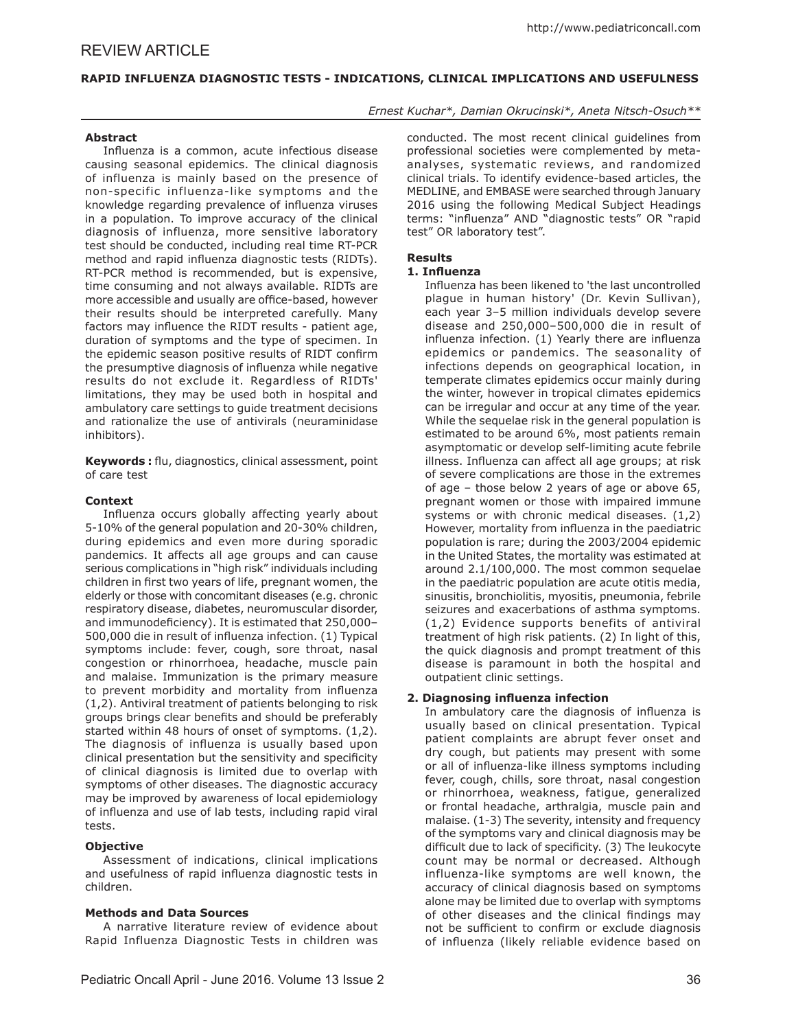# REVIEW ARTICLE

# **RAPID INFLUENZA DIAGNOSTIC TESTS - INDICATIONS, CLINICAL IMPLICATIONS AND USEFULNESS**

## *Ernest Kuchar\*, Damian Okrucinski\*, Aneta Nitsch-Osuch\*\**

### **Abstract**

Influenza is a common, acute infectious disease causing seasonal epidemics. The clinical diagnosis of influenza is mainly based on the presence of non-specific influenza-like symptoms and the knowledge regarding prevalence of influenza viruses in a population. To improve accuracy of the clinical diagnosis of influenza, more sensitive laboratory test should be conducted, including real time RT-PCR method and rapid influenza diagnostic tests (RIDTs). RT-PCR method is recommended, but is expensive, time consuming and not always available. RIDTs are more accessible and usually are office-based, however their results should be interpreted carefully. Many factors may influence the RIDT results - patient age, duration of symptoms and the type of specimen. In the epidemic season positive results of RIDT confirm the presumptive diagnosis of influenza while negative results do not exclude it. Regardless of RIDTs' limitations, they may be used both in hospital and ambulatory care settings to guide treatment decisions and rationalize the use of antivirals (neuraminidase inhibitors).

**Keywords :** flu, diagnostics, clinical assessment, point of care test

### **Context**

Influenza occurs globally affecting yearly about 5-10% of the general population and 20-30% children, during epidemics and even more during sporadic pandemics. It affects all age groups and can cause serious complications in "high risk" individuals including children in first two years of life, pregnant women, the elderly or those with concomitant diseases (e.g. chronic respiratory disease, diabetes, neuromuscular disorder, and immunodeficiency). It is estimated that 250,000– 500,000 die in result of influenza infection. (1) Typical symptoms include: fever, cough, sore throat, nasal congestion or rhinorrhoea, headache, muscle pain and malaise. Immunization is the primary measure to prevent morbidity and mortality from influenza (1,2). Antiviral treatment of patients belonging to risk groups brings clear benefits and should be preferably started within 48 hours of onset of symptoms. (1,2). The diagnosis of influenza is usually based upon clinical presentation but the sensitivity and specificity of clinical diagnosis is limited due to overlap with symptoms of other diseases. The diagnostic accuracy may be improved by awareness of local epidemiology of influenza and use of lab tests, including rapid viral tests.

### **Objective**

Assessment of indications, clinical implications and usefulness of rapid influenza diagnostic tests in children.

### **Methods and Data Sources**

A narrative literature review of evidence about Rapid Influenza Diagnostic Tests in children was

conducted. The most recent clinical guidelines from professional societies were complemented by metaanalyses, systematic reviews, and randomized clinical trials. To identify evidence-based articles, the MEDLINE, and EMBASE were searched through January 2016 using the following Medical Subject Headings terms: "influenza" AND "diagnostic tests" OR "rapid test" OR laboratory test".

### **Results**

### **1. Influenza**

Influenza has been likened to 'the last uncontrolled plague in human history' (Dr. Kevin Sullivan), each year 3–5 million individuals develop severe disease and 250,000–500,000 die in result of influenza infection. (1) Yearly there are influenza epidemics or pandemics. The seasonality of infections depends on geographical location, in temperate climates epidemics occur mainly during the winter, however in tropical climates epidemics can be irregular and occur at any time of the year. While the sequelae risk in the general population is estimated to be around 6%, most patients remain asymptomatic or develop self-limiting acute febrile illness. Influenza can affect all age groups; at risk of severe complications are those in the extremes of age – those below 2 years of age or above 65, pregnant women or those with impaired immune systems or with chronic medical diseases. (1,2) However, mortality from influenza in the paediatric population is rare; during the 2003/2004 epidemic in the United States, the mortality was estimated at around 2.1/100,000. The most common sequelae in the paediatric population are acute otitis media, sinusitis, bronchiolitis, myositis, pneumonia, febrile seizures and exacerbations of asthma symptoms. (1,2) Evidence supports benefits of antiviral treatment of high risk patients. (2) In light of this, the quick diagnosis and prompt treatment of this disease is paramount in both the hospital and outpatient clinic settings.

### **2. Diagnosing influenza infection**

In ambulatory care the diagnosis of influenza is usually based on clinical presentation. Typical patient complaints are abrupt fever onset and dry cough, but patients may present with some or all of influenza-like illness symptoms including fever, cough, chills, sore throat, nasal congestion or rhinorrhoea, weakness, fatigue, generalized or frontal headache, arthralgia, muscle pain and malaise. (1-3) The severity, intensity and frequency of the symptoms vary and clinical diagnosis may be difficult due to lack of specificity. (3) The leukocyte count may be normal or decreased. Although influenza-like symptoms are well known, the accuracy of clinical diagnosis based on symptoms alone may be limited due to overlap with symptoms of other diseases and the clinical findings may not be sufficient to confirm or exclude diagnosis of influenza (likely reliable evidence based on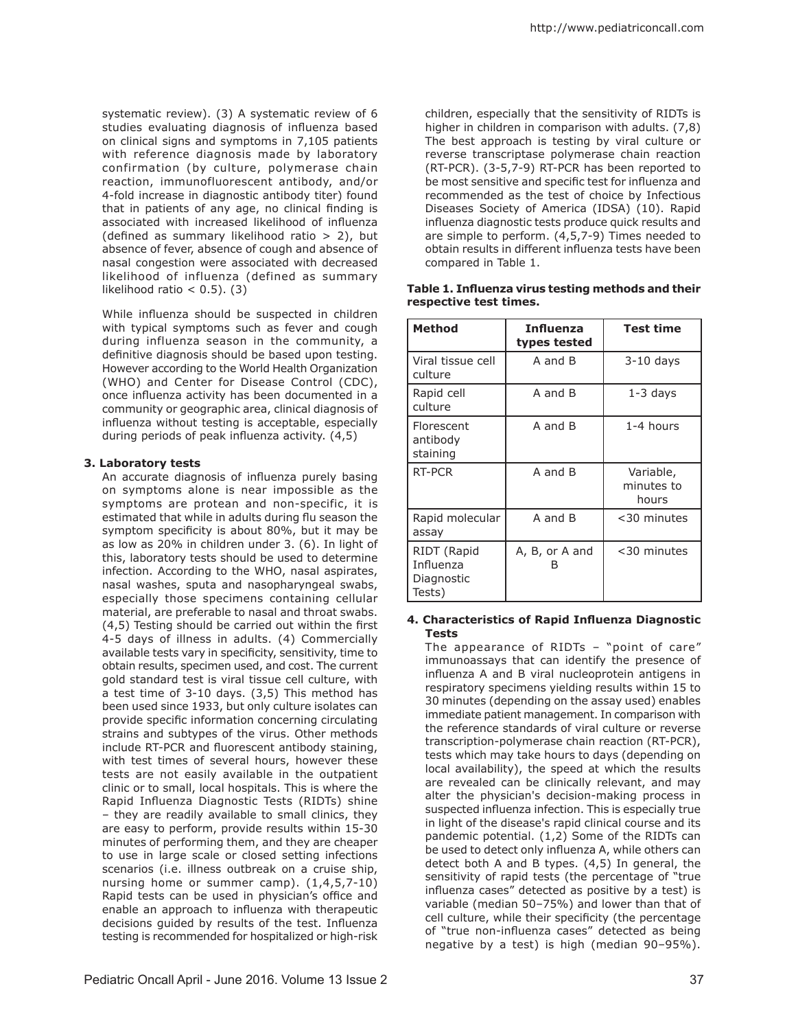systematic review). (3) A systematic review of 6 studies evaluating diagnosis of influenza based on clinical signs and symptoms in 7,105 patients with reference diagnosis made by laboratory confirmation (by culture, polymerase chain reaction, immunofluorescent antibody, and/or 4-fold increase in diagnostic antibody titer) found that in patients of any age, no clinical finding is associated with increased likelihood of influenza (defined as summary likelihood ratio  $> 2$ ), but absence of fever, absence of cough and absence of nasal congestion were associated with decreased likelihood of influenza (defined as summary likelihood ratio  $<$  0.5). (3)

While influenza should be suspected in children with typical symptoms such as fever and cough during influenza season in the community, a definitive diagnosis should be based upon testing. However according to the World Health Organization (WHO) and Center for Disease Control (CDC), once influenza activity has been documented in a community or geographic area, clinical diagnosis of influenza without testing is acceptable, especially during periods of peak influenza activity. (4,5)

### **3. Laboratory tests**

An accurate diagnosis of influenza purely basing on symptoms alone is near impossible as the symptoms are protean and non-specific, it is estimated that while in adults during flu season the symptom specificity is about 80%, but it may be as low as 20% in children under 3. (6). In light of this, laboratory tests should be used to determine infection. According to the WHO, nasal aspirates, nasal washes, sputa and nasopharyngeal swabs, especially those specimens containing cellular material, are preferable to nasal and throat swabs. (4,5) Testing should be carried out within the first 4-5 days of illness in adults. (4) Commercially available tests vary in specificity, sensitivity, time to obtain results, specimen used, and cost. The current gold standard test is viral tissue cell culture, with a test time of 3-10 days. (3,5) This method has been used since 1933, but only culture isolates can provide specific information concerning circulating strains and subtypes of the virus. Other methods include RT-PCR and fluorescent antibody staining, with test times of several hours, however these tests are not easily available in the outpatient clinic or to small, local hospitals. This is where the Rapid Influenza Diagnostic Tests (RIDTs) shine – they are readily available to small clinics, they are easy to perform, provide results within 15-30 minutes of performing them, and they are cheaper to use in large scale or closed setting infections scenarios (i.e. illness outbreak on a cruise ship, nursing home or summer camp). (1,4,5,7-10) Rapid tests can be used in physician's office and enable an approach to influenza with therapeutic decisions guided by results of the test. Influenza testing is recommended for hospitalized or high-risk

children, especially that the sensitivity of RIDTs is higher in children in comparison with adults. (7,8) The best approach is testing by viral culture or reverse transcriptase polymerase chain reaction (RT-PCR). (3-5,7-9) RT-PCR has been reported to be most sensitive and specific test for influenza and recommended as the test of choice by Infectious Diseases Society of America (IDSA) (10). Rapid influenza diagnostic tests produce quick results and are simple to perform. (4,5,7-9) Times needed to obtain results in different influenza tests have been compared in Table 1.

| <b>Method</b>                                    | <b>Influenza</b><br>types tested | <b>Test time</b>                 |
|--------------------------------------------------|----------------------------------|----------------------------------|
| Viral tissue cell<br>culture                     | A and B                          | $3-10$ days                      |
| Rapid cell<br>culture                            | A and B                          | $1-3$ days                       |
| Florescent<br>antibody<br>staining               | A and B                          | 1-4 hours                        |
| RT-PCR                                           | A and B                          | Variable,<br>minutes to<br>hours |
| Rapid molecular<br>assay                         | A and B                          | <30 minutes                      |
| RIDT (Rapid<br>Influenza<br>Diagnostic<br>Tests) | A, B, or A and                   | <30 minutes                      |

### **Table 1. Influenza virus testing methods and their respective test times.**

### **4. Characteristics of Rapid Influenza Diagnostic Tests**

The appearance of RIDTs – "point of care" immunoassays that can identify the presence of influenza A and B viral nucleoprotein antigens in respiratory specimens yielding results within 15 to 30 minutes (depending on the assay used) enables immediate patient management. In comparison with the reference standards of viral culture or reverse transcription-polymerase chain reaction (RT-PCR), tests which may take hours to days (depending on local availability), the speed at which the results are revealed can be clinically relevant, and may alter the physician's decision-making process in suspected influenza infection. This is especially true in light of the disease's rapid clinical course and its pandemic potential. (1,2) Some of the RIDTs can be used to detect only influenza A, while others can detect both A and B types. (4,5) In general, the sensitivity of rapid tests (the percentage of "true influenza cases" detected as positive by a test) is variable (median 50–75%) and lower than that of cell culture, while their specificity (the percentage of "true non-influenza cases" detected as being negative by a test) is high (median 90–95%).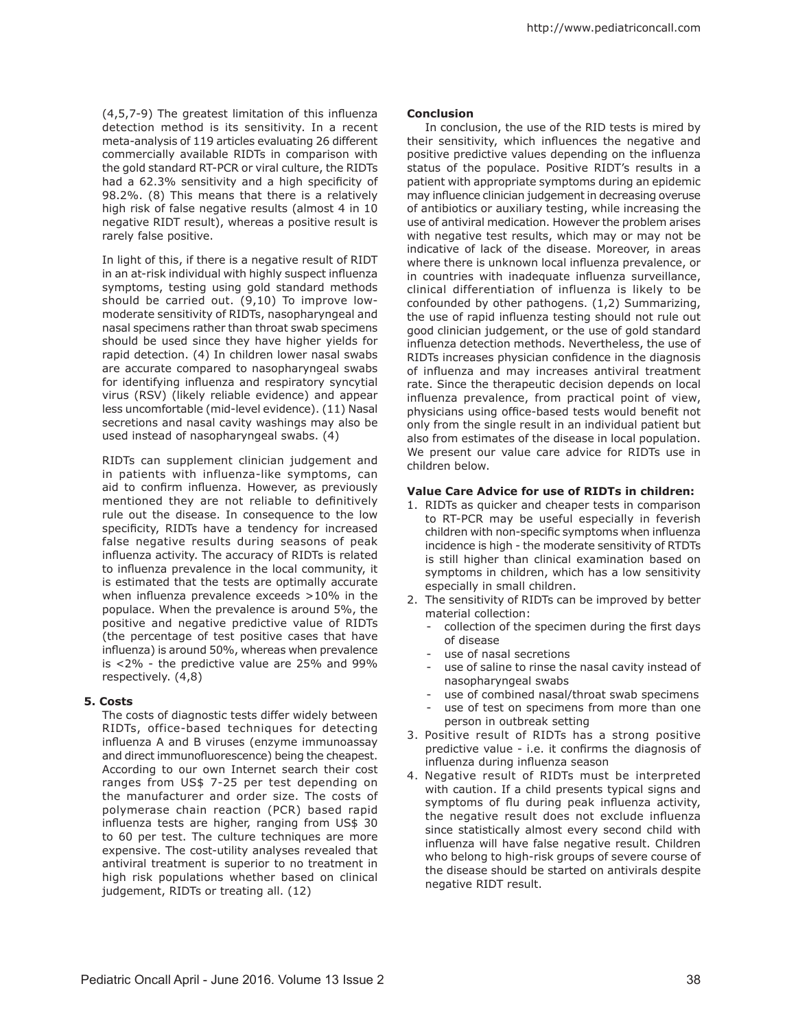(4,5,7-9) The greatest limitation of this influenza detection method is its sensitivity. In a recent meta-analysis of 119 articles evaluating 26 different commercially available RIDTs in comparison with the gold standard RT-PCR or viral culture, the RIDTs had a 62.3% sensitivity and a high specificity of 98.2%. (8) This means that there is a relatively high risk of false negative results (almost 4 in 10 negative RIDT result), whereas a positive result is rarely false positive.

In light of this, if there is a negative result of RIDT in an at-risk individual with highly suspect influenza symptoms, testing using gold standard methods should be carried out. (9,10) To improve lowmoderate sensitivity of RIDTs, nasopharyngeal and nasal specimens rather than throat swab specimens should be used since they have higher yields for rapid detection. (4) In children lower nasal swabs are accurate compared to nasopharyngeal swabs for identifying influenza and respiratory syncytial virus (RSV) (likely reliable evidence) and appear less uncomfortable (mid-level evidence). (11) Nasal secretions and nasal cavity washings may also be used instead of nasopharyngeal swabs. (4)

RIDTs can supplement clinician judgement and in patients with influenza-like symptoms, can aid to confirm influenza. However, as previously mentioned they are not reliable to definitively rule out the disease. In consequence to the low specificity, RIDTs have a tendency for increased false negative results during seasons of peak influenza activity. The accuracy of RIDTs is related to influenza prevalence in the local community, it is estimated that the tests are optimally accurate when influenza prevalence exceeds >10% in the populace. When the prevalence is around 5%, the positive and negative predictive value of RIDTs (the percentage of test positive cases that have influenza) is around 50%, whereas when prevalence is <2% - the predictive value are 25% and 99% respectively. (4,8)

### **5. Costs**

The costs of diagnostic tests differ widely between RIDTs, office-based techniques for detecting influenza A and B viruses (enzyme immunoassay and direct immunofluorescence) being the cheapest. According to our own Internet search their cost ranges from US\$ 7-25 per test depending on the manufacturer and order size. The costs of polymerase chain reaction (PCR) based rapid influenza tests are higher, ranging from US\$ 30 to 60 per test. The culture techniques are more expensive. The cost-utility analyses revealed that antiviral treatment is superior to no treatment in high risk populations whether based on clinical judgement, RIDTs or treating all. (12)

#### **Conclusion**

In conclusion, the use of the RID tests is mired by their sensitivity, which influences the negative and positive predictive values depending on the influenza status of the populace. Positive RIDT's results in a patient with appropriate symptoms during an epidemic may influence clinician judgement in decreasing overuse of antibiotics or auxiliary testing, while increasing the use of antiviral medication. However the problem arises with negative test results, which may or may not be indicative of lack of the disease. Moreover, in areas where there is unknown local influenza prevalence, or in countries with inadequate influenza surveillance, clinical differentiation of influenza is likely to be confounded by other pathogens. (1,2) Summarizing, the use of rapid influenza testing should not rule out good clinician judgement, or the use of gold standard influenza detection methods. Nevertheless, the use of RIDTs increases physician confidence in the diagnosis of influenza and may increases antiviral treatment rate. Since the therapeutic decision depends on local influenza prevalence, from practical point of view, physicians using office-based tests would benefit not only from the single result in an individual patient but also from estimates of the disease in local population. We present our value care advice for RIDTs use in children below.

### **Value Care Advice for use of RIDTs in children:**

- 1. RIDTs as quicker and cheaper tests in comparison to RT-PCR may be useful especially in feverish children with non-specific symptoms when influenza incidence is high - the moderate sensitivity of RTDTs is still higher than clinical examination based on symptoms in children, which has a low sensitivity especially in small children.
- 2. The sensitivity of RIDTs can be improved by better material collection:
	- collection of the specimen during the first days of disease
	- use of nasal secretions
	- use of saline to rinse the nasal cavity instead of nasopharyngeal swabs
	- use of combined nasal/throat swab specimens
	- use of test on specimens from more than one person in outbreak setting
- 3. Positive result of RIDTs has a strong positive predictive value - i.e. it confirms the diagnosis of influenza during influenza season
- 4. Negative result of RIDTs must be interpreted with caution. If a child presents typical signs and symptoms of flu during peak influenza activity, the negative result does not exclude influenza since statistically almost every second child with influenza will have false negative result. Children who belong to high-risk groups of severe course of the disease should be started on antivirals despite negative RIDT result.